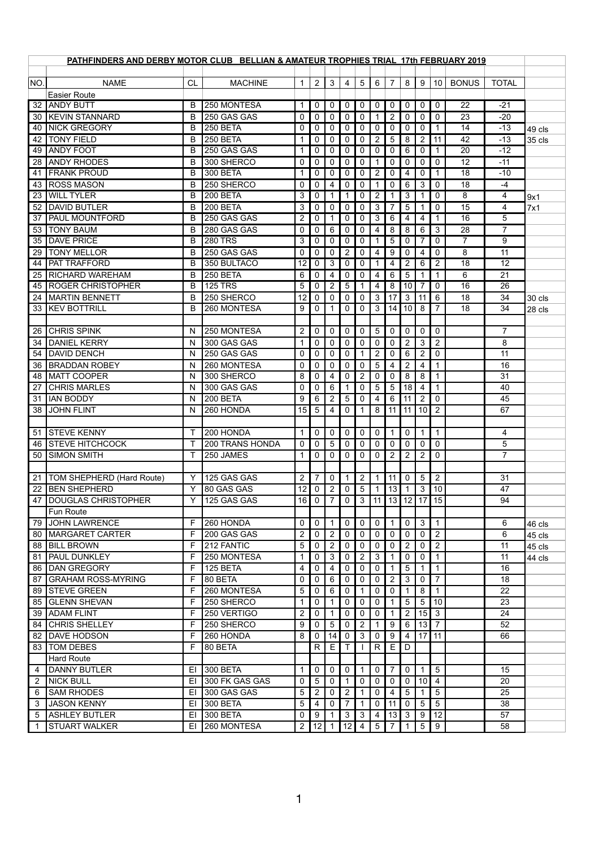| PATHFINDERS AND DERBY MOTOR CLUB BELLIAN & AMATEUR TROPHIES TRIAL 17th FEBRUARY 2019 |                                       |           |                                |                |                            |                     |                                 |                            |                 |                 |                               |                     |                 |                |                |            |
|--------------------------------------------------------------------------------------|---------------------------------------|-----------|--------------------------------|----------------|----------------------------|---------------------|---------------------------------|----------------------------|-----------------|-----------------|-------------------------------|---------------------|-----------------|----------------|----------------|------------|
|                                                                                      |                                       |           |                                |                |                            |                     |                                 |                            |                 |                 |                               |                     |                 |                |                |            |
| NO.                                                                                  | <b>NAME</b>                           | <b>CL</b> | <b>MACHINE</b>                 | 1              | $\overline{2}$             | $\mathbf{3}$        | $\overline{4}$                  | $5\phantom{.}$             | 6               | $\overline{7}$  | 8 <sup>1</sup>                | 9                   | 10 <sup>1</sup> | <b>BONUS</b>   | <b>TOTAL</b>   |            |
|                                                                                      | <b>Easier Route</b>                   |           |                                |                |                            |                     |                                 |                            |                 |                 |                               |                     |                 |                |                |            |
| 32                                                                                   | <b>ANDY BUTT</b>                      | B         | 250 MONTESA                    | 1              | $\mathbf 0$                | $\mathbf 0$         | $\boldsymbol{0}$                | $\mathbf 0$                | 0               | 0               | 0                             | 0                   | 0               | 22             | $-21$          |            |
| 30                                                                                   | <b>KEVIN STANNARD</b>                 | B         | 250 GAS GAS                    | $\mathbf 0$    | $\mathbf 0$                | $\mathbf 0$         | $\boldsymbol{0}$                | $\mathbf 0$                |                 | $\overline{2}$  | $\overline{0}$<br>$\mathbf 0$ | 0                   | 0               | 23             | $-20$          |            |
| 40                                                                                   | <b>INICK GREGORY</b>                  | B         | 250 BETA                       | 0              | $\mathbf 0$                | 0                   | $\boldsymbol{0}$                | $\mathbf 0$                | 0               | 0               |                               | 0                   |                 | 14             | $-13$          | 49 cls     |
| 42                                                                                   | <b>TONY FIELD</b><br><b>ANDY FOOT</b> | B<br>B    | <b>250 BETA</b><br>250 GAS GAS | 1              | $\mathbf 0$                | $\mathbf 0$         | $\boldsymbol{0}$                | $\mathbf 0$                | $\overline{2}$  | 5               | 8                             | $\overline{2}$      | 11              | 42<br>20       | $-13$<br>$-12$ | 35 cls     |
| 49                                                                                   | <b>JANDY RHODES</b>                   | B         |                                | 1              | $\mathbf 0$                | 0                   | $\boldsymbol{0}$                | $\mathbf 0$                | 0               | $\overline{0}$  | 6                             | 0                   |                 | 12             | $-11$          |            |
| 28<br>41                                                                             | <b>FRANK PROUD</b>                    | B         | 300 SHERCO<br><b>300 BETA</b>  | 0              | $\mathbf 0$<br>$\mathbf 0$ | $\overline{0}$<br>0 | $\boldsymbol{0}$<br>$\mathbf 0$ | $\mathbf 0$<br>$\mathbf 0$ | $\overline{2}$  | 0<br>0          | $\mathbf 0$<br>4              | $\overline{0}$<br>0 | 0               | 18             | $-10$          |            |
| 43                                                                                   | <b>ROSS MASON</b>                     | B         | 250 SHERCO                     | 0              | $\mathbf 0$                | 4                   | $\mathbf 0$                     | $\mathbf 0$                |                 | 0               | 6                             | 3                   | 0               | 18             | $-4$           |            |
| 23                                                                                   | <b>WILL TYLER</b>                     | B         | 200 BETA                       | 3              | $\mathbf 0$                |                     |                                 | $\mathbf 0$                | $\overline{2}$  |                 | 3                             |                     | 0               | 8              | 4              |            |
| 52                                                                                   | <b>DAVID BUTLER</b>                   | B         | <b>200 BETA</b>                | 3              | $\mathbf 0$                | $\mathbf 0$         | $\mathbf 0$                     | $\mathbf 0$                | 3               |                 | 5                             |                     | 0               | 15             | 4              | 9x1<br>7x1 |
| 37                                                                                   | <b>PAUL MOUNTFORD</b>                 | B         | 250 GAS GAS                    | $\overline{2}$ | $\mathbf 0$                |                     | 0                               | 0                          | 3               | 6               | 4                             | 4                   |                 | 16             | 5              |            |
| 53                                                                                   | <b>TONY BAUM</b>                      | B         | 280 GAS GAS                    | 0              | $\mathbf 0$                | 6                   | $\mathbf 0$                     | $\mathbf 0$                | 4               | 8               | 8                             | 6                   | 3               | 28             | $\overline{7}$ |            |
| 35                                                                                   | <b>DAVE PRICE</b>                     | B         | <b>280 TRS</b>                 | 3              | $\mathbf 0$                | 0                   | $\mathbf 0$                     | $\mathbf 0$                |                 | 5               | $\overline{0}$                |                     | 0               | $\overline{7}$ | 9              |            |
| 29                                                                                   | <b>TONY MELLOR</b>                    | B         | 250 GAS GAS                    | $\mathbf 0$    | $\mathbf 0$                | $\mathbf 0$         | $\overline{2}$                  | $\mathbf 0$                | 4               | 9               | $\mathbf 0$                   | 4                   | 0               | 8              | 11             |            |
| 44                                                                                   | <b>PAT TRAFFORD</b>                   | B         | 350 BULTACO                    | 12             | $\mathbf 0$                | 3                   | $\boldsymbol{0}$                | $\mathbf 0$                |                 | 4               | $\overline{2}$                | 6                   | $\overline{2}$  | 18             | 12             |            |
| 25                                                                                   | <b>RICHARD WAREHAM</b>                | B         | 250 BETA                       | 6              | $\mathbf 0$                | 4                   | $\mathbf 0$                     | $\mathbf 0$                | 4               | 6               | 5                             |                     | $\mathbf 1$     | 6              | 21             |            |
| 45                                                                                   | <b>ROGER CHRISTOPHER</b>              | B         | <b>125 TRS</b>                 | 5              | 0                          | $\overline{2}$      | $\overline{5}$                  |                            | 4               | 8               | 10 <sup>1</sup>               | 7                   | 0               | 16             | 26             |            |
| 24                                                                                   | <b>MARTIN BENNETT</b>                 | B         | 250 SHERCO                     | 12             | $\mathbf 0$                | $\mathbf 0$         | $\mathbf 0$                     | $\mathbf 0$                | 3               | 17              | $\mathbf{3}$                  | 11                  | 6               | 18             | 34             | 30 cls     |
| 33                                                                                   | <b>IKEV BOTTRILL</b>                  | B         | 260 MONTESA                    | 9              | $\mathbf 0$                |                     | $\boldsymbol{0}$                | 0                          | 3               | 14              | 10 <sup>1</sup>               | 8                   |                 | 18             | 34             | 28 cls     |
|                                                                                      |                                       |           |                                |                |                            |                     |                                 |                            |                 |                 |                               |                     |                 |                |                |            |
| 26                                                                                   | <b>CHRIS SPINK</b>                    | N.        | 250 MONTESA                    | $\overline{2}$ | $\mathbf 0$                | $\mathbf 0$         | $\mathbf 0$                     | $\mathbf 0$                | $5\phantom{.0}$ | $\overline{0}$  | $\mathbf{0}$                  | $\overline{0}$      | 0               |                | $\overline{7}$ |            |
| 34                                                                                   | <b>TDANIEL KERRY</b>                  | N.        | 300 GAS GAS                    | 1              | $\mathbf 0$                | $\mathbf 0$         | 0                               | $\mathbf 0$                | 0               | 0               | $\overline{2}$                | 3                   | $\overline{2}$  |                | 8              |            |
| 54                                                                                   | <b>DAVID DENCH</b>                    | N.        | 250 GAS GAS                    | 0              | $\mathbf 0$                | $\mathbf 0$         | 0                               | 1                          | $\overline{2}$  | $\mathbf 0$     | 6                             | $\overline{2}$      | 0               |                | 11             |            |
|                                                                                      | <b>BRADDAN ROBEY</b>                  | N.        | 260 MONTESA                    | 0              | $\mathbf 0$                | $\overline{0}$      | $\mathbf 0$                     | $\overline{0}$             | $5\phantom{.0}$ | $\overline{4}$  | $\overline{2}$                | $4 \mid$            | $\overline{1}$  |                | 16             |            |
| 48                                                                                   | <b>MATT COOPER</b>                    | N         | 300 SHERCO                     | 8              | $\mathbf 0$                | 4                   | $\mathbf 0$                     | $\overline{2}$             | $\overline{0}$  | $\mathbf{0}$    | 8                             | 8                   | $\mathbf 1$     |                | 31             |            |
| 27                                                                                   | <b>CHRIS MARLES</b>                   | N.        | 300 GAS GAS                    | 0              | $\mathbf 0$                | 6                   | $\mathbf 1$                     | $\mathbf 0$                | $\overline{5}$  | $\overline{5}$  | 18                            | $\overline{4}$      | $\mathbf 1$     |                | 40             |            |
| 31                                                                                   | <b>IAN BODDY</b>                      | N.        | <b>200 BETA</b>                | 9              | 6                          | $\overline{2}$      | 5                               | $\mathbf 0$                | 4               | 6               | 11                            | 2                   | $\overline{0}$  |                | 45             |            |
| 38                                                                                   | <b>JOHN FLINT</b>                     | N.        | 260 HONDA                      | 15             | 5                          | 4                   | $\pmb{0}$                       |                            | 8               | 11              | 11                            | 10 <sup>1</sup>     | $\overline{2}$  |                | 67             |            |
|                                                                                      |                                       |           |                                |                |                            |                     |                                 |                            |                 |                 |                               |                     |                 |                |                |            |
| 51                                                                                   | <b>STEVE KENNY</b>                    |           | 200 HONDA                      | 1              | $\mathbf 0$                | $\mathbf 0$         | $\boldsymbol{0}$                | $\overline{0}$             | $\mathbf 0$     |                 | $\overline{0}$                |                     | $\mathbf 1$     |                | 4              |            |
| 46                                                                                   | <b>STEVE HITCHCOCK</b>                |           | <b>200 TRANS HONDA</b>         | 0              | $\mathbf 0$                | 5                   | $\mathbf 0$                     | $\mathbf 0$                | 0               | 0               | $\Omega$                      | 0                   | $\overline{0}$  |                | 5              |            |
| 50                                                                                   | <b>SIMON SMITH</b>                    |           | <b>250 JAMES</b>               | 1              | $\mathbf 0$                | $\mathbf 0$         | $\mathbf 0$                     | $\overline{0}$             | $\overline{0}$  | $\overline{2}$  | $\overline{2}$                | $\overline{2}$      | 0               |                | $\overline{7}$ |            |
|                                                                                      |                                       |           |                                |                |                            |                     |                                 |                            |                 |                 |                               |                     |                 |                |                |            |
| 21                                                                                   | <b>TOM SHEPHERD (Hard Route)</b>      | Y         | 125 GAS GAS                    | $\overline{2}$ | $\overline{7}$             | $\overline{0}$      | $\mathbf 1$                     | $\overline{2}$             |                 | 11              | $\overline{0}$                | $5\overline{)}$     | $\overline{2}$  |                | 31             |            |
| 22                                                                                   | <b>BEN SHEPHERD</b>                   | Y         | 80 GAS GAS                     | 12             | $\mathbf 0$                | $\overline{2}$      | $\mathbf 0$                     | 5                          |                 | 13 <sup>1</sup> |                               | 3                   | 10              |                | 47             |            |
| 47                                                                                   | DOUGLAS CHRISTOPHER                   | Y         | 125 GAS GAS                    | 16             | $\mathbf 0$                | $\overline{7}$      | $\mathbf 0$                     | 3                          | 11              |                 | 13   12   17                  |                     | 15              |                | 94             |            |
|                                                                                      | Fun Route                             |           |                                |                |                            |                     |                                 |                            |                 |                 |                               |                     |                 |                |                |            |
| 79                                                                                   | JOHN LAWRENCE                         | F         | 260 HONDA                      | 0              | $\mathbf 0$                | 1                   | $\boldsymbol{0}$                | $\overline{0}$             | $\mathbf 0$     |                 | $\overline{0}$                | 3                   | $\mathbf 1$     |                | 6              | 46 cls     |
| 80                                                                                   | <b>MARGARET CARTER</b>                | F.        | 200 GAS GAS                    | $\overline{2}$ | $\mathbf 0$                | $\overline{2}$      | $\mathbf 0$                     | $\mathbf 0$                | 0               | 0               | $\mathbf{0}$                  | 0                   | $\overline{2}$  |                | 6              | 45 cls     |
| 88                                                                                   | <b>BILL BROWN</b>                     | F         | 212 FANTIC                     | 5              | $\mathbf 0$                | $\overline{2}$      | $\mathbf 0$                     | $\mathbf 0$                | 0               | 0               | $\overline{2}$                | $\overline{0}$      | $\overline{2}$  |                | 11             | 45 cls     |
| 81                                                                                   | <b>PAUL DUNKLEY</b>                   | E         | 250 MONTESA                    | 1              | $\mathbf 0$                | $\mathfrak{S}$      | $\mathbf 0$                     | $\overline{2}$             | 3               |                 | $\mathbf 0$                   | $\mathbf 0$         | 1               |                | 11             | 44 cls     |
| 86                                                                                   | <b>DAN GREGORY</b>                    | F         | 125 BETA                       | 4              | $\mathbf 0$                | 4                   | 0                               | $\mathbf 0$                | $\overline{0}$  |                 | 5                             |                     |                 |                | 16             |            |
| 87                                                                                   | <b>GRAHAM ROSS-MYRING</b>             | F.        | 80 BETA                        | 0              | $\mathbf 0$                | 6                   | $\mathbf 0$                     | $\mathbf 0$                | 0               | $\overline{2}$  | 3                             | $\Omega$            | $\overline{7}$  |                | 18             |            |
| 89                                                                                   | <b>STEVE GREEN</b>                    | F         | 260 MONTESA                    | 5              | $\mathbf 0$                | 6                   | $\boldsymbol{0}$                |                            | $\overline{0}$  | 0               |                               | 8                   |                 |                | 22             |            |
| 85                                                                                   | <b>GLENN SHEVAN</b>                   | E         | 250 SHERCO                     | 1              | 0                          |                     | $\boldsymbol{0}$                | $\mathbf 0$                | $\overline{0}$  |                 | 5                             | 5                   | 10              |                | 23             |            |
| 39                                                                                   | <b>ADAM FLINT</b>                     | F         | 250 VERTIGO                    | $\overline{2}$ | $\mathbf 0$                |                     | $\mathbf 0$                     | $\mathbf 0$                | $\overline{0}$  |                 | 2                             | 15                  | 3               |                | 24             |            |
| 84                                                                                   | <b>CHRIS SHELLEY</b>                  | F.        | 250 SHERCO                     | 9              | $\mathbf 0$                | 5                   | $\boldsymbol{0}$                | $\overline{2}$             |                 | 9               | 6                             | 13                  | $\overline{7}$  |                | 52             |            |
| 82                                                                                   | DAVE HODSON                           | F         | 260 HONDA                      | 8              | $\mathbf 0$                | 14                  | $\mathbf 0$                     | 3                          | 0               | 9               | 4                             | $17$   11           |                 |                | 66             |            |
| 83                                                                                   | <b>TOM DEBES</b>                      | F.        | 80 BETA                        |                | R                          | E                   | T                               |                            | $\mathsf{R}$    | E               | D                             |                     |                 |                |                |            |
|                                                                                      | <b>Hard Route</b>                     |           |                                |                |                            |                     |                                 |                            |                 |                 |                               |                     |                 |                |                |            |
| $\overline{4}$                                                                       | <b>DANNY BUTLER</b>                   |           | EI 300 BETA                    |                |                            |                     |                                 |                            | 100010107015    |                 |                               |                     |                 |                | 15             |            |
| 2                                                                                    | <b>NICK BULL</b>                      |           | EI 300 FK GAS GAS              | 0              | $5\overline{)}$            | $\overline{0}$      |                                 | $\overline{0}$             | $\overline{0}$  | $\mathbf 0$     | 0 <sup>1</sup>                | 10 <sup>1</sup>     | $\overline{4}$  |                | 20             |            |
| 6                                                                                    | <b>SAM RHODES</b>                     |           | EI 300 GAS GAS                 | 5              | 2                          | $\mathbf 0$         | $\overline{2}$                  |                            | $\mathbf 0$     | 4               | $5\phantom{.0}$               |                     | $5\overline{)}$ |                | 25             |            |
| 3                                                                                    | <b>JASON KENNY</b>                    |           | EI 300 BETA                    | 5              | 4                          | $\overline{0}$      | 7                               |                            | 0               | 11              | $\mathbf 0$                   | 5 <sup>5</sup>      | $5\overline{)}$ |                | 38             |            |
| 5                                                                                    | <b>ASHLEY BUTLER</b>                  | EL        | 300 BETA                       | 0              | 9                          |                     | $\mathbf{3}$                    | $\mathbf{3}$               | $\overline{4}$  | 13 <sup>1</sup> | $\mathbf{3}$                  | 9                   | 12              |                | 57             |            |
|                                                                                      | <b>STUART WALKER</b>                  |           | EI 260 MONTESA                 | $\overline{2}$ | 12                         | 1                   | 12                              | 4                          | $5\overline{)}$ |                 |                               | 5 <sup>1</sup>      | 9               |                | 58             |            |